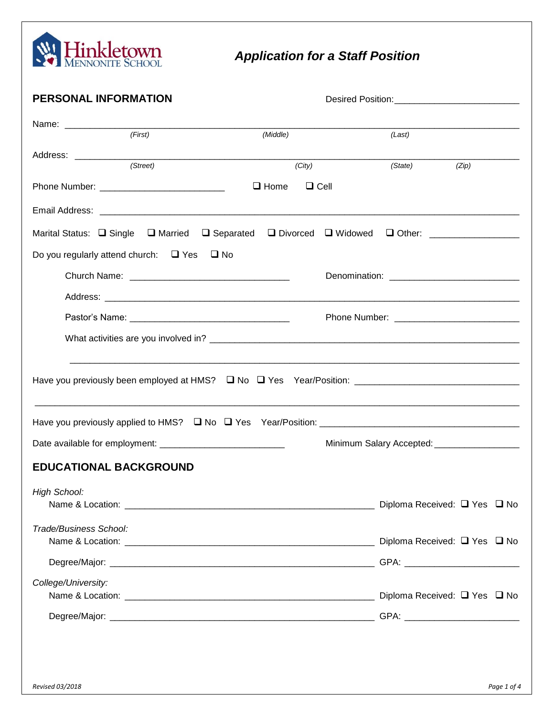

# *Application for a Staff Position*

| PERSONAL INFORMATION                                                                                 |             |                                                    |       |  |
|------------------------------------------------------------------------------------------------------|-------------|----------------------------------------------------|-------|--|
|                                                                                                      |             |                                                    |       |  |
| (First)                                                                                              | (Middle)    | (Last)                                             |       |  |
| (Street)                                                                                             | (City)      | (State)                                            | (Zip) |  |
|                                                                                                      | $\Box$ Home | $\Box$ Cell                                        |       |  |
|                                                                                                      |             |                                                    |       |  |
| Marital Status: □ Single □ Married □ Separated                                                       |             | □ Divorced □ Widowed □ Other: ____________________ |       |  |
| Do you regularly attend church: $\Box$ Yes $\Box$ No                                                 |             |                                                    |       |  |
|                                                                                                      |             |                                                    |       |  |
|                                                                                                      |             |                                                    |       |  |
|                                                                                                      |             |                                                    |       |  |
|                                                                                                      |             |                                                    |       |  |
| Have you previously been employed at HMS? □ No □ Yes Year/Position: ________________________________ |             |                                                    |       |  |
|                                                                                                      |             |                                                    |       |  |
|                                                                                                      |             | Minimum Salary Accepted: __________________        |       |  |
| <b>EDUCATIONAL BACKGROUND</b>                                                                        |             |                                                    |       |  |
| <b>High School:</b>                                                                                  |             |                                                    |       |  |
| Trade/Business School:                                                                               |             |                                                    |       |  |
|                                                                                                      |             |                                                    |       |  |
| College/University:                                                                                  |             |                                                    |       |  |
|                                                                                                      |             |                                                    |       |  |
|                                                                                                      |             |                                                    |       |  |
|                                                                                                      |             |                                                    |       |  |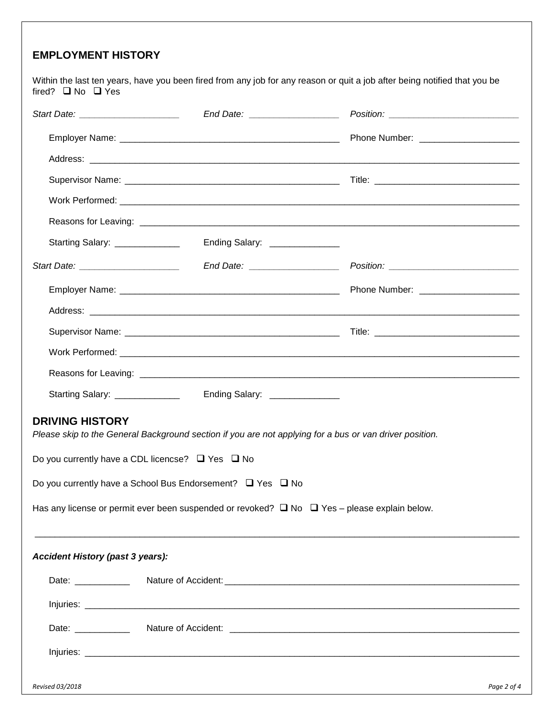### **EMPLOYMENT HISTORY**

Within the last ten years, have you been fired from any job for any reason or quit a job after being notified that you be fired?  $\Box$  No  $\Box$  Yes

| Start Date: <u>_____________________</u>                                                                                          |                                |                                                                                                                                                                                                                                |
|-----------------------------------------------------------------------------------------------------------------------------------|--------------------------------|--------------------------------------------------------------------------------------------------------------------------------------------------------------------------------------------------------------------------------|
|                                                                                                                                   |                                |                                                                                                                                                                                                                                |
|                                                                                                                                   |                                |                                                                                                                                                                                                                                |
|                                                                                                                                   |                                |                                                                                                                                                                                                                                |
|                                                                                                                                   |                                |                                                                                                                                                                                                                                |
|                                                                                                                                   |                                |                                                                                                                                                                                                                                |
| Starting Salary: ______________                                                                                                   | Ending Salary: _______________ |                                                                                                                                                                                                                                |
|                                                                                                                                   |                                |                                                                                                                                                                                                                                |
|                                                                                                                                   |                                |                                                                                                                                                                                                                                |
|                                                                                                                                   |                                |                                                                                                                                                                                                                                |
|                                                                                                                                   |                                |                                                                                                                                                                                                                                |
|                                                                                                                                   |                                |                                                                                                                                                                                                                                |
|                                                                                                                                   |                                |                                                                                                                                                                                                                                |
| Starting Salary: ______________                                                                                                   | Ending Salary: _______________ |                                                                                                                                                                                                                                |
| <b>DRIVING HISTORY</b><br>Please skip to the General Background section if you are not applying for a bus or van driver position. |                                |                                                                                                                                                                                                                                |
| Do you currently have a CDL licencse? $\Box$ Yes $\Box$ No                                                                        |                                |                                                                                                                                                                                                                                |
| Do you currently have a School Bus Endorsement? $\Box$ Yes $\Box$ No                                                              |                                |                                                                                                                                                                                                                                |
| Has any license or permit ever been suspended or revoked? $\Box$ No $\Box$ Yes - please explain below.                            |                                |                                                                                                                                                                                                                                |
| <b>Accident History (past 3 years):</b>                                                                                           |                                |                                                                                                                                                                                                                                |
|                                                                                                                                   |                                | Date: Nature of Accident: Nature of Accident: Nature of Accident: Nature of Accident: Nature of Accident: Nature of Accident: Nature of Accident: Nature of Accident: Nature of Accident: Nature of Accident: Nature of Accide |
|                                                                                                                                   |                                |                                                                                                                                                                                                                                |
| Date: ___________                                                                                                                 |                                |                                                                                                                                                                                                                                |
|                                                                                                                                   |                                |                                                                                                                                                                                                                                |
|                                                                                                                                   |                                |                                                                                                                                                                                                                                |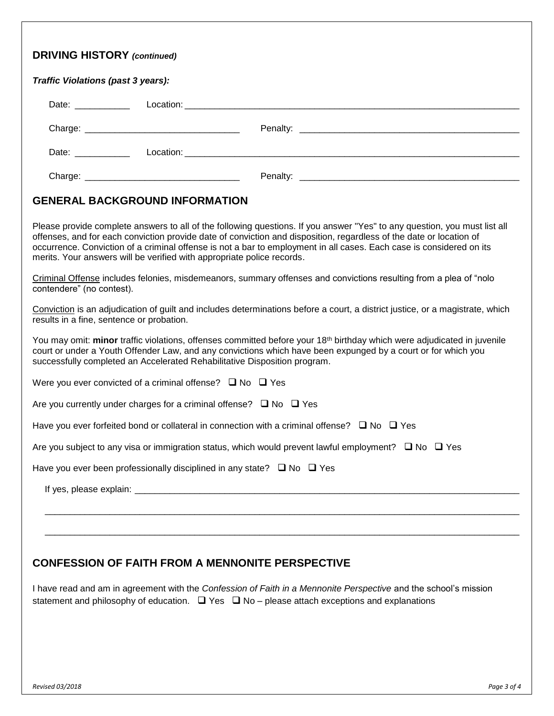| <b>GENERAL BACKGROUND INFORMATION</b><br>Please provide complete answers to all of the following questions. If you answer "Yes" to any question, you must list all<br>offenses, and for each conviction provide date of conviction and disposition, regardless of the date or location of<br>occurrence. Conviction of a criminal offense is not a bar to employment in all cases. Each case is considered on its<br>merits. Your answers will be verified with appropriate police records.<br>Criminal Offense includes felonies, misdemeanors, summary offenses and convictions resulting from a plea of "nolo<br>contendere" (no contest).<br>Conviction is an adjudication of guilt and includes determinations before a court, a district justice, or a magistrate, which<br>results in a fine, sentence or probation.<br>You may omit: minor traffic violations, offenses committed before your 18 <sup>th</sup> birthday which were adjudicated in juvenile<br>court or under a Youth Offender Law, and any convictions which have been expunged by a court or for which you<br>successfully completed an Accelerated Rehabilitative Disposition program.<br>Were you ever convicted of a criminal offense? $\Box$ No $\Box$ Yes<br>Are you currently under charges for a criminal offense? $\Box$ No $\Box$ Yes<br>Have you ever forfeited bond or collateral in connection with a criminal offense? $\Box$ No $\Box$ Yes<br>Are you subject to any visa or immigration status, which would prevent lawful employment? $\Box$ No $\Box$ Yes<br>Have you ever been professionally disciplined in any state? $\Box$ No $\Box$ Yes | Traffic Violations (past 3 years): |  |
|-----------------------------------------------------------------------------------------------------------------------------------------------------------------------------------------------------------------------------------------------------------------------------------------------------------------------------------------------------------------------------------------------------------------------------------------------------------------------------------------------------------------------------------------------------------------------------------------------------------------------------------------------------------------------------------------------------------------------------------------------------------------------------------------------------------------------------------------------------------------------------------------------------------------------------------------------------------------------------------------------------------------------------------------------------------------------------------------------------------------------------------------------------------------------------------------------------------------------------------------------------------------------------------------------------------------------------------------------------------------------------------------------------------------------------------------------------------------------------------------------------------------------------------------------------------------------------------------------------------------------------------------|------------------------------------|--|
|                                                                                                                                                                                                                                                                                                                                                                                                                                                                                                                                                                                                                                                                                                                                                                                                                                                                                                                                                                                                                                                                                                                                                                                                                                                                                                                                                                                                                                                                                                                                                                                                                                         |                                    |  |
|                                                                                                                                                                                                                                                                                                                                                                                                                                                                                                                                                                                                                                                                                                                                                                                                                                                                                                                                                                                                                                                                                                                                                                                                                                                                                                                                                                                                                                                                                                                                                                                                                                         |                                    |  |
|                                                                                                                                                                                                                                                                                                                                                                                                                                                                                                                                                                                                                                                                                                                                                                                                                                                                                                                                                                                                                                                                                                                                                                                                                                                                                                                                                                                                                                                                                                                                                                                                                                         |                                    |  |
|                                                                                                                                                                                                                                                                                                                                                                                                                                                                                                                                                                                                                                                                                                                                                                                                                                                                                                                                                                                                                                                                                                                                                                                                                                                                                                                                                                                                                                                                                                                                                                                                                                         |                                    |  |
|                                                                                                                                                                                                                                                                                                                                                                                                                                                                                                                                                                                                                                                                                                                                                                                                                                                                                                                                                                                                                                                                                                                                                                                                                                                                                                                                                                                                                                                                                                                                                                                                                                         |                                    |  |
|                                                                                                                                                                                                                                                                                                                                                                                                                                                                                                                                                                                                                                                                                                                                                                                                                                                                                                                                                                                                                                                                                                                                                                                                                                                                                                                                                                                                                                                                                                                                                                                                                                         |                                    |  |
|                                                                                                                                                                                                                                                                                                                                                                                                                                                                                                                                                                                                                                                                                                                                                                                                                                                                                                                                                                                                                                                                                                                                                                                                                                                                                                                                                                                                                                                                                                                                                                                                                                         |                                    |  |
|                                                                                                                                                                                                                                                                                                                                                                                                                                                                                                                                                                                                                                                                                                                                                                                                                                                                                                                                                                                                                                                                                                                                                                                                                                                                                                                                                                                                                                                                                                                                                                                                                                         |                                    |  |
|                                                                                                                                                                                                                                                                                                                                                                                                                                                                                                                                                                                                                                                                                                                                                                                                                                                                                                                                                                                                                                                                                                                                                                                                                                                                                                                                                                                                                                                                                                                                                                                                                                         |                                    |  |
|                                                                                                                                                                                                                                                                                                                                                                                                                                                                                                                                                                                                                                                                                                                                                                                                                                                                                                                                                                                                                                                                                                                                                                                                                                                                                                                                                                                                                                                                                                                                                                                                                                         |                                    |  |
|                                                                                                                                                                                                                                                                                                                                                                                                                                                                                                                                                                                                                                                                                                                                                                                                                                                                                                                                                                                                                                                                                                                                                                                                                                                                                                                                                                                                                                                                                                                                                                                                                                         |                                    |  |
|                                                                                                                                                                                                                                                                                                                                                                                                                                                                                                                                                                                                                                                                                                                                                                                                                                                                                                                                                                                                                                                                                                                                                                                                                                                                                                                                                                                                                                                                                                                                                                                                                                         |                                    |  |
|                                                                                                                                                                                                                                                                                                                                                                                                                                                                                                                                                                                                                                                                                                                                                                                                                                                                                                                                                                                                                                                                                                                                                                                                                                                                                                                                                                                                                                                                                                                                                                                                                                         |                                    |  |
|                                                                                                                                                                                                                                                                                                                                                                                                                                                                                                                                                                                                                                                                                                                                                                                                                                                                                                                                                                                                                                                                                                                                                                                                                                                                                                                                                                                                                                                                                                                                                                                                                                         |                                    |  |
|                                                                                                                                                                                                                                                                                                                                                                                                                                                                                                                                                                                                                                                                                                                                                                                                                                                                                                                                                                                                                                                                                                                                                                                                                                                                                                                                                                                                                                                                                                                                                                                                                                         |                                    |  |
|                                                                                                                                                                                                                                                                                                                                                                                                                                                                                                                                                                                                                                                                                                                                                                                                                                                                                                                                                                                                                                                                                                                                                                                                                                                                                                                                                                                                                                                                                                                                                                                                                                         |                                    |  |

I have read and am in agreement with the *Confession of Faith in a Mennonite Perspective* and the school's mission statement and philosophy of education.  $\Box$  Yes  $\Box$  No – please attach exceptions and explanations